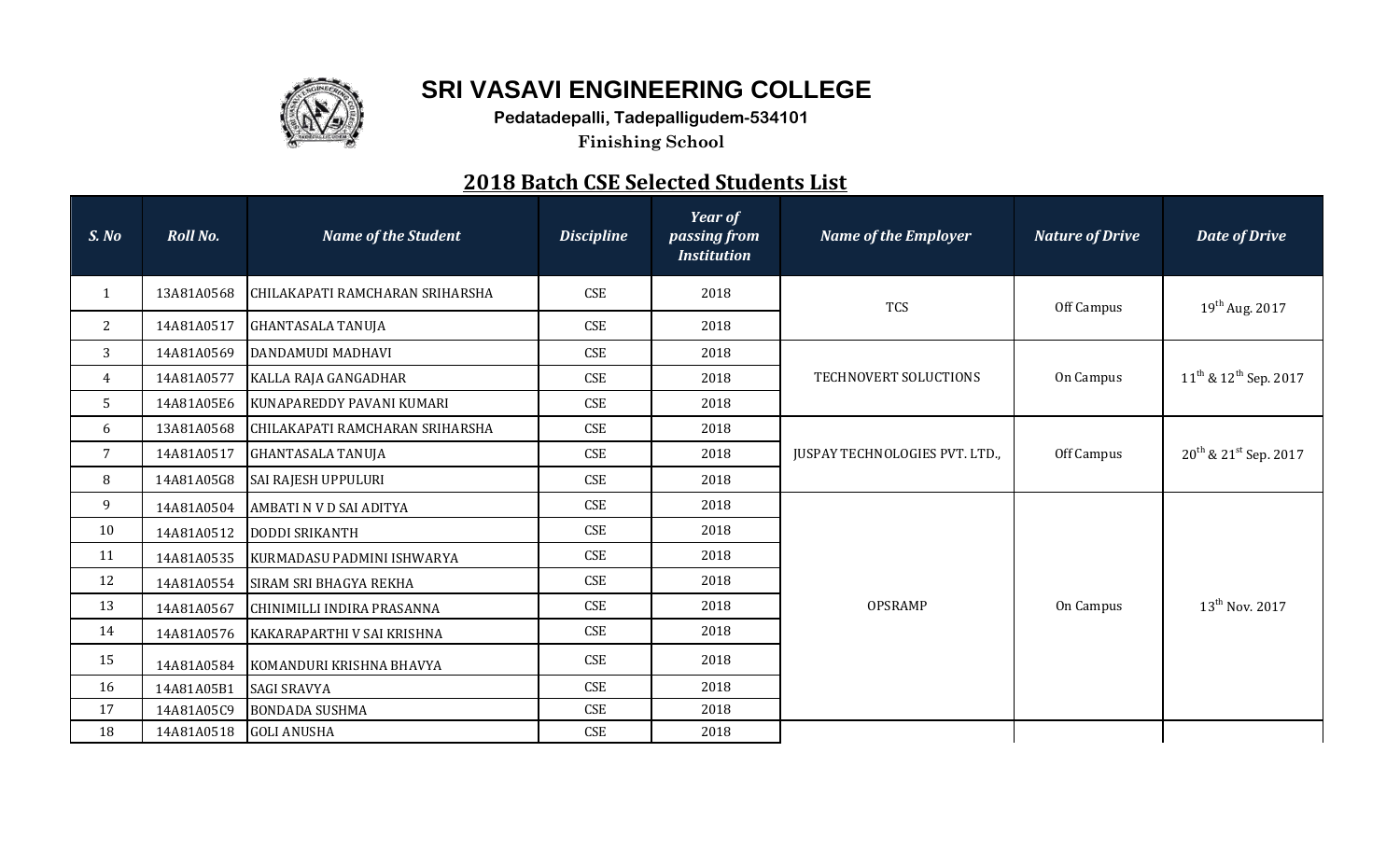

## **SRI VASAVI ENGINEERING COLLEGE**

**Pedatadepalli, Tadepalligudem-534101**

**Finishing School**

## **2018 Batch CSE Selected Students List**

| S. No           | <b>Roll No.</b> | <b>Name of the Student</b>      | <b>Discipline</b> | <b>Year of</b><br>passing from<br><b>Institution</b> | <b>Name of the Employer</b>           | <b>Nature of Drive</b> | <b>Date of Drive</b>            |
|-----------------|-----------------|---------------------------------|-------------------|------------------------------------------------------|---------------------------------------|------------------------|---------------------------------|
| $\mathbf{1}$    | 13A81A0568      | CHILAKAPATI RAMCHARAN SRIHARSHA | <b>CSE</b>        | 2018                                                 | <b>TCS</b>                            | Off Campus             | $19^{th}$ Aug. 2017             |
| 2               | 14A81A0517      | <b>GHANTASALA TANUJA</b>        | <b>CSE</b>        | 2018                                                 |                                       |                        |                                 |
| 3               | 14A81A0569      | DANDAMUDI MADHAVI               | <b>CSE</b>        | 2018                                                 |                                       |                        |                                 |
| $\overline{4}$  | 14A81A0577      | KALLA RAJA GANGADHAR            | <b>CSE</b>        | 2018                                                 | TECHNOVERT SOLUCTIONS                 | On Campus              | $11^{th}$ & $12^{th}$ Sep. 2017 |
| 5 <sup>5</sup>  | 14A81A05E6      | KUNAPAREDDY PAVANI KUMARI       | <b>CSE</b>        | 2018                                                 |                                       |                        |                                 |
| 6               | 13A81A0568      | CHILAKAPATI RAMCHARAN SRIHARSHA | <b>CSE</b>        | 2018                                                 |                                       |                        |                                 |
| $7\overline{ }$ | 14A81A0517      | <b>GHANTASALA TANUJA</b>        | <b>CSE</b>        | 2018                                                 | <b>JUSPAY TECHNOLOGIES PVT. LTD.,</b> | Off Campus             | $20^{th}$ & $21^{st}$ Sep. 2017 |
| 8               | 14A81A05G8      | <b>SAI RAJESH UPPULURI</b>      | <b>CSE</b>        | 2018                                                 |                                       |                        |                                 |
| 9               | 14A81A0504      | AMBATI N V D SAI ADITYA         | <b>CSE</b>        | 2018                                                 |                                       | On Campus              | $13^{th}$ Nov. 2017             |
| 10              | 14A81A0512      | <b>DODDI SRIKANTH</b>           | <b>CSE</b>        | 2018                                                 |                                       |                        |                                 |
| 11              | 14A81A0535      | KURMADASU PADMINI ISHWARYA      | <b>CSE</b>        | 2018                                                 |                                       |                        |                                 |
| 12              | 14A81A0554      | SIRAM SRI BHAGYA REKHA          | <b>CSE</b>        | 2018                                                 |                                       |                        |                                 |
| 13              | 14A81A0567      | CHINIMILLI INDIRA PRASANNA      | <b>CSE</b>        | 2018                                                 | <b>OPSRAMP</b>                        |                        |                                 |
| 14              | 14A81A0576      | KAKARAPARTHI V SAI KRISHNA      | <b>CSE</b>        | 2018                                                 |                                       |                        |                                 |
| 15              | 14A81A0584      | KOMANDURI KRISHNA BHAVYA        | <b>CSE</b>        | 2018                                                 |                                       |                        |                                 |
| 16              | 14A81A05B1      | <b>SAGI SRAVYA</b>              | <b>CSE</b>        | 2018                                                 |                                       |                        |                                 |
| 17              | 14A81A05C9      | <b>BONDADA SUSHMA</b>           | <b>CSE</b>        | 2018                                                 |                                       |                        |                                 |
| 18              | 14A81A0518      | <b>GOLI ANUSHA</b>              | <b>CSE</b>        | 2018                                                 |                                       |                        |                                 |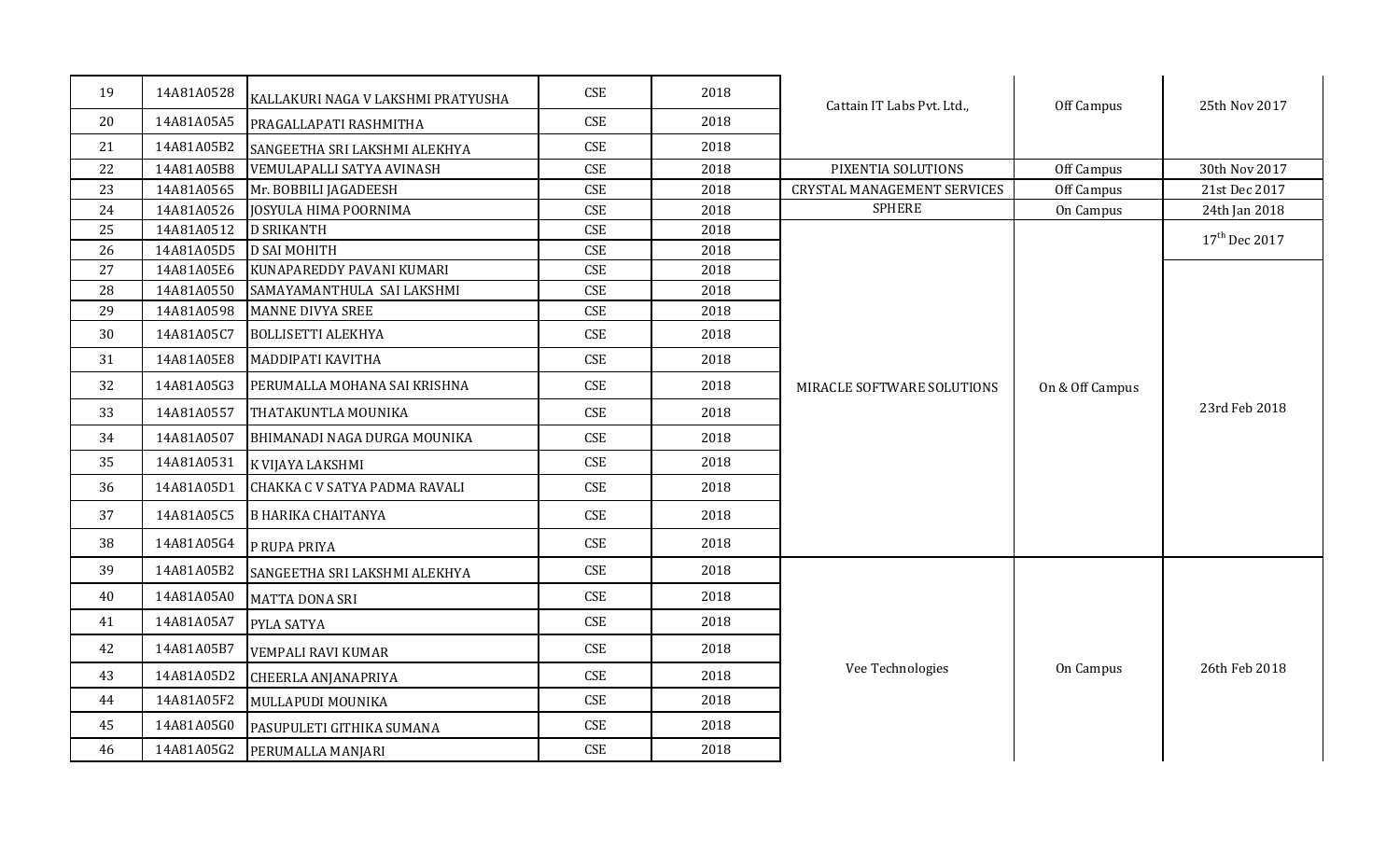| 19 | 14A81A0528 | KALLAKURI NAGA V LAKSHMI PRATYUSHA | <b>CSE</b> | 2018 | Cattain IT Labs Pvt. Ltd.,         | Off Campus      | 25th Nov 2017             |
|----|------------|------------------------------------|------------|------|------------------------------------|-----------------|---------------------------|
| 20 | 14A81A05A5 | PRAGALLAPATI RASHMITHA             | <b>CSE</b> | 2018 |                                    |                 |                           |
| 21 | 14A81A05B2 | SANGEETHA SRI LAKSHMI ALEKHYA      | <b>CSE</b> | 2018 |                                    |                 |                           |
| 22 | 14A81A05B8 | VEMULAPALLI SATYA AVINASH          | <b>CSE</b> | 2018 | PIXENTIA SOLUTIONS                 | Off Campus      | 30th Nov 2017             |
| 23 | 14A81A0565 | Mr. BOBBILI JAGADEESH              | <b>CSE</b> | 2018 | <b>CRYSTAL MANAGEMENT SERVICES</b> | Off Campus      | 21st Dec 2017             |
| 24 | 14A81A0526 | JOSYULA HIMA POORNIMA              | <b>CSE</b> | 2018 | <b>SPHERE</b>                      | On Campus       | 24th Jan 2018             |
| 25 | 14A81A0512 | <b>D SRIKANTH</b>                  | <b>CSE</b> | 2018 |                                    |                 | 17 <sup>th</sup> Dec 2017 |
| 26 | 14A81A05D5 | <b>D SAI MOHITH</b>                | <b>CSE</b> | 2018 |                                    |                 |                           |
| 27 | 14A81A05E6 | KUNAPAREDDY PAVANI KUMARI          | <b>CSE</b> | 2018 |                                    |                 |                           |
| 28 | 14A81A0550 | SAMAYAMANTHULA SAI LAKSHMI         | <b>CSE</b> | 2018 |                                    |                 |                           |
| 29 | 14A81A0598 | <b>MANNE DIVYA SREE</b>            | <b>CSE</b> | 2018 |                                    |                 |                           |
| 30 | 14A81A05C7 | <b>BOLLISETTI ALEKHYA</b>          | CSE        | 2018 |                                    |                 |                           |
| 31 | 14A81A05E8 | <b>MADDIPATI KAVITHA</b>           | <b>CSE</b> | 2018 |                                    |                 |                           |
| 32 | 14A81A05G3 | PERUMALLA MOHANA SAI KRISHNA       | <b>CSE</b> | 2018 | MIRACLE SOFTWARE SOLUTIONS         | On & Off Campus |                           |
| 33 | 14A81A0557 | THATAKUNTLA MOUNIKA                | <b>CSE</b> | 2018 |                                    |                 | 23rd Feb 2018             |
| 34 | 14A81A0507 | BHIMANADI NAGA DURGA MOUNIKA       | <b>CSE</b> | 2018 |                                    |                 |                           |
| 35 | 14A81A0531 | K VIJAYA LAKSHMI                   | <b>CSE</b> | 2018 |                                    |                 |                           |
| 36 | 14A81A05D1 | CHAKKA C V SATYA PADMA RAVALI      | <b>CSE</b> | 2018 |                                    |                 |                           |
| 37 | 14A81A05C5 | <b>B HARIKA CHAITANYA</b>          | <b>CSE</b> | 2018 |                                    |                 |                           |
| 38 | 14A81A05G4 | P RUPA PRIYA                       | <b>CSE</b> | 2018 |                                    |                 |                           |
| 39 | 14A81A05B2 | SANGEETHA SRI LAKSHMI ALEKHYA      | <b>CSE</b> | 2018 |                                    |                 |                           |
| 40 | 14A81A05A0 | <b>MATTA DONA SRI</b>              | <b>CSE</b> | 2018 |                                    |                 |                           |
| 41 | 14A81A05A7 | PYLA SATYA                         | <b>CSE</b> | 2018 |                                    |                 |                           |
| 42 | 14A81A05B7 | <b>VEMPALI RAVI KUMAR</b>          | <b>CSE</b> | 2018 |                                    |                 |                           |
| 43 | 14A81A05D2 | CHEERLA ANJANAPRIYA                | <b>CSE</b> | 2018 | Vee Technologies                   | On Campus       | 26th Feb 2018             |
| 44 | 14A81A05F2 | MULLAPUDI MOUNIKA                  | <b>CSE</b> | 2018 |                                    |                 |                           |
| 45 | 14A81A05G0 | PASUPULETI GITHIKA SUMANA          | <b>CSE</b> | 2018 |                                    |                 |                           |
| 46 | 14A81A05G2 | PERUMALLA MANJARI                  | <b>CSE</b> | 2018 |                                    |                 |                           |